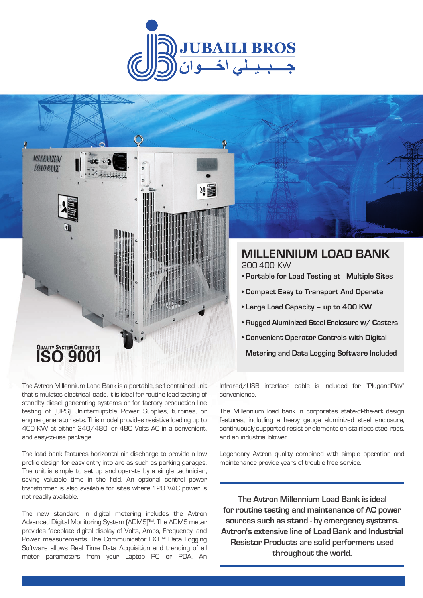



# QUALITY SYSTEM CERTIFIED TO

The Avtron Millennium Load Bank is a portable, self contained unit that simulates electrical loads. It is ideal for routine load testing of standby diesel generating systems or for factory production line testing of (UPS) Uninterruptible Power Supplies, turbines, or engine generator sets. This model provides resistive loading up to 400 KW at either 240/480, or 480 Volts AC in a convenient, and easy-to-use package.

The load bank features horizontal air discharge to provide a low profile design for easy entry into are as such as parking garages. The unit is simple to set up and operate by a single technician, saving valuable time in the field. An optional control power transformer is also available for sites where 120 VAC power is not readily available.

The new standard in digital metering includes the Avtron Advanced Digital Monitoring System (ADMS)™. The ADMS meter provides faceplate digital display of Volts, Amps, Frequency, and Power measurements. The Communicator EXT™ Data Logging Software allows Real Time Data Acquisition and trending of all meter parameters from your Laptop PC or PDA. An

Infrared/USB interface cable is included for "PlugandPlay" convenience.

 **Metering and Data Logging Software Included**

The Millennium load bank in corporates state-of-the-art design features, including a heavy gauge aluminized steel enclosure, continuously supported resist or elements on stainless steel rods, and an industrial blower.

Legendary Avtron quality combined with simple operation and maintenance provide years of trouble free service.

**The Avtron Millennium Load Bank is ideal for routine testing and maintenance of AC power sources such as stand - by emergency systems. Avtron's extensive line of Load Bank and Industrial Resistor Products are solid performers used throughout the world.**